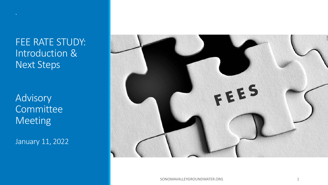FEE RATE STUDY: Introduction & Next Steps

Advisory **Committee** Meeting

January 11, 2022



SONOMAVALLEYGROUNDWATER.ORG 1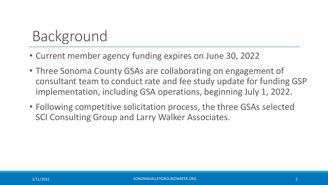# Background

- Current member agency funding expires on June 30, 2022
- Three Sonoma County GSAs are collaborating on engagement of consultant team to conduct rate and fee study update for funding GSP implementation, including GSA operations, beginning July 1, 2022.
- Following competitive solicitation process, the three GSAs selected SCI Consulting Group and Larry Walker Associates.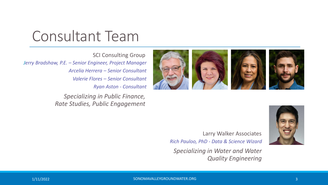## Consultant Team

SCI Consulting Group *Jerry Bradshaw, P.E. – Senior Engineer, Project Manager Arcelia Herrera – Senior Consultant Valerie Flores – Senior Consultant Ryan Aston - Consultant*

> *Specializing in Public Finance, Rate Studies, Public Engagement*





Larry Walker Associates *Rich Pauloo, PhD - Data & Science Wizard*

*Specializing in Water and Water Quality Engineering*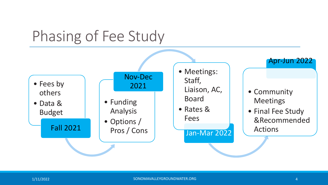# Phasing of Fee Study

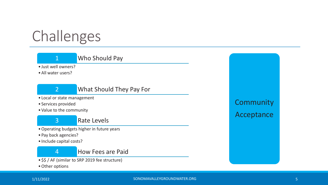# Challenges

### 1 Who Should Pay

• Just well owners?

• All water users?



#### 2 What Should They Pay For

- Local or state management
- Services provided
- Value to the community

3 Rate Levels

- •Operating budgets higher in future years
- Pay back agencies?
- Include capital costs?



- \$\$ / AF (similar to SRP 2019 fee structure)
- •Other options

**Community** Acceptance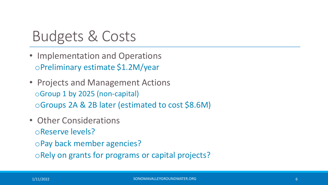## Budgets & Costs

- Implementation and Operations oPreliminary estimate \$1.2M/year
- Projects and Management Actions oGroup 1 by 2025 (non-capital) oGroups 2A & 2B later (estimated to cost \$8.6M)
- Other Considerations oReserve levels? oPay back member agencies? oRely on grants for programs or capital projects?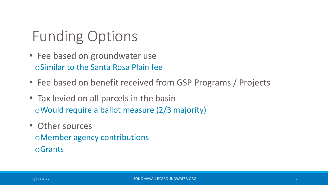# Funding Options

- Fee based on groundwater use oSimilar to the Santa Rosa Plain fee
- Fee based on benefit received from GSP Programs / Projects
- Tax levied on all parcels in the basin oWould require a ballot measure (2/3 majority)
- Other sources oMember agency contributions oGrants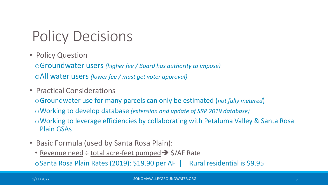# Policy Decisions

• Policy Question

oGroundwater users *(higher fee / Board has authority to impose)* oAll water users *(lower fee / must get voter approval)*

• Practical Considerations

oGroundwater use for many parcels can only be estimated (*not fully metered*) oWorking to develop database *(extension and update of SRP 2019 database)* oWorking to leverage efficiencies by collaborating with Petaluma Valley & Santa Rosa Plain GSAs

- Basic Formula (used by Santa Rosa Plain):
	- Revenue need  $\div$  total acre-feet pumped  $\rightarrow$  \$/AF Rate

oSanta Rosa Plain Rates (2019): \$19.90 per AF || Rural residential is \$9.95